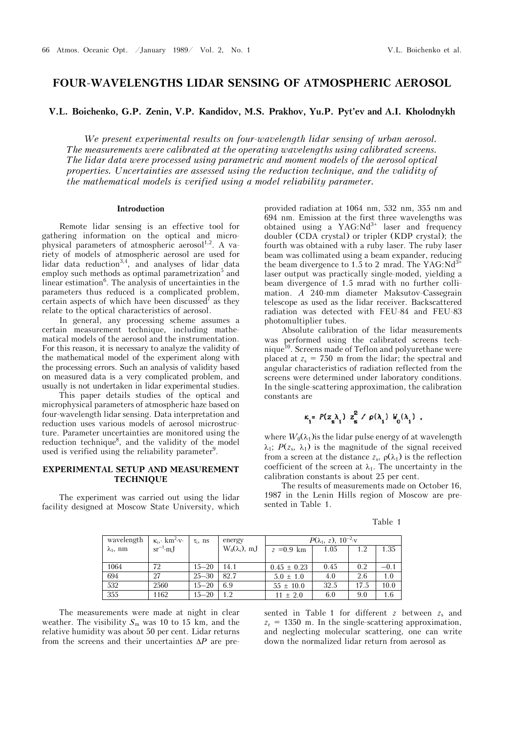# **FOUR-WAVELENGTHS LIDAR SENSING OF ATMOSPHERIC AEROSOL**

**V.L. Boichenko, G.P. Zenin, V.P. Kandidov, M.S. Prakhov, Yu.P. Pyt'ev and A.I. Kholodnykh** 

*We present experimental results on four-wavelength lidar sensing of urban aerosol. The measurements were calibrated at the operating wavelengths using calibrated screens. The lidar data were processed using parametric and moment models of the aerosol optical properties. Uncertainties are assessed using the reduction technique, and the validity of the mathematical models is verified using a model reliability parameter.* 

## **Introduction**

Remote lidar sensing is an effective tool for gathering information on the optical and microphysical parameters of atmospheric aerosol<sup>1,2</sup>. A variety of models of atmospheric aerosol are used for lidar data reduction<sup>3,4</sup>, and analyses of lidar data employ such methods as optimal parametrization<sup>5</sup> and linear estimation<sup>6</sup>. The analysis of uncertainties in the parameters thus reduced is a complicated problem, certain aspects of which have been discussed<sup>7</sup> as they relate to the optical characteristics of aerosol.

In general, any processing scheme assumes a certain measurement technique, including mathematical models of the aerosol and the instrumentation. For this reason, it is necessary to analyze the validity of the mathematical model of the experiment along with the processing errors. Such an analysis of validity based on measured data is a very complicated problem, and usually is not undertaken in lidar experimental studies.

This paper details studies of the optical and microphysical parameters of atmospheric haze based on four-wavelength lidar sensing. Data interpretation and reduction uses various models of aerosol microstructure. Parameter uncertainties are monitored using the reduction technique<sup>8</sup>, and the validity of the model used is verified using the reliability parameter<sup>9</sup>.

# **EXPERIMENTAL SETUP AND MEASUREMENT TECHNIQUE**

The experiment was carried out using the lidar facility designed at Moscow State University, which

provided radiation at 1064 nm, 532 nm, 355 nm and 694 nm. Emission at the first three wavelengths was obtained using a  $YAG:Nd^{3+}$  laser and frequency doubler (CDA crystal) or tripler (KDP crystal); the fourth was obtained with a ruby laser. The ruby laser beam was collimated using a beam expander, reducing the beam divergence to 1.5 to 2 mrad. The YAG: $Nd^3$ laser output was practically single-moded, yielding a beam divergence of 1.5 mrad with no further collimation. *A* 240-mm diameter Maksutov-Cassegrain telescope as used as the lidar receiver. Backscattered radiation was detected with FEU-84 and FEU-83 photomultiplier tubes.

Absolute calibration of the lidar measurements was performed using the calibrated screens technique<sup>10</sup>. Screens made of Teflon and polyurethane were placed at  $z_s = 750$  m from the lidar; the spectral and angular characteristics of radiation reflected from the screens were determined under laboratory conditions. In the single-scattering approximation, the calibration constants are

$$
\kappa_i = P(z_i) \ z_s^2 / \rho(\lambda_i) V_0(\lambda_i) ,
$$

where  $W_0(\lambda_1)$  is the lidar pulse energy of at wavelength  $\lambda_1$ ; *P*(*z*<sub>s</sub>,  $\lambda_1$ ) is the magnitude of the signal received from a screen at the distance  $z_s$ ,  $\rho(\lambda_1)$  is the reflection coefficient of the screen at  $\lambda_1$ . The uncertainty in the calibration constants is about 25 per cent.

The results of measurements made on October 16, 1987 in the Lenin Hills region of Moscow are presented in Table 1.

| ı |  |
|---|--|
|---|--|

| wavelength       | $\kappa_i$ , km <sup>2</sup> ·v· | $\tau_i$ , $\text{ns}$ | energy                | $P(\lambda_1, z)$ , $10^{-2}$ ·v |      |      |        |
|------------------|----------------------------------|------------------------|-----------------------|----------------------------------|------|------|--------|
| $\lambda_1$ , nm | $sr^{-1} \cdot mJ$               |                        | $W_0(\lambda_i)$ , mJ | $z = 0.9$ km                     | 1.05 |      | 1.35   |
|                  |                                  |                        |                       |                                  |      |      |        |
| 1064             | 72                               | $15 - 20$              | 14.1                  | $0.45 \pm 0.23$                  | 0.45 | 0.2  | $-0.1$ |
| 694              | 27                               | $25 - 30$              | 82.7                  | $5.0 \pm 1.0$                    | 4.0  | 2.6  | 1.0    |
| 532              | 2560                             | $15 - 20$              | 6.9                   | $55 \pm 10.0$                    | 32.5 | 17.5 | 10.0   |
| 355              | 1162                             | $15 - 20$              | 1.2                   | $11 \pm 2.0$                     | 6.0  | 9.0  | 1.6    |

The measurements were made at night in clear weather. The visibility  $S_m$  was 10 to 15 km, and the relative humidity was about 50 per cent. Lidar returns from the screens and their uncertainties  $\Delta P$  are pre-

sented in Table 1 for different *z* between *z*s and  $z_r = 1350$  m. In the single-scattering approximation, and neglecting molecular scattering, one can write down the normalized lidar return from aerosol as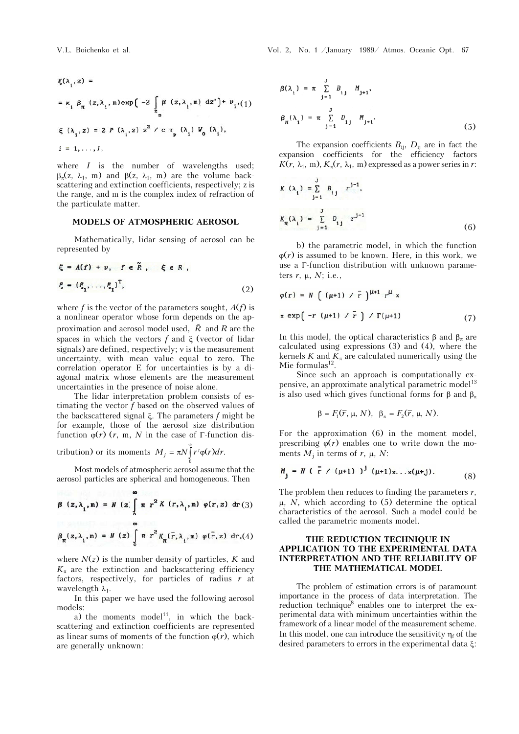$$
\xi(\lambda_{i}, z) =
$$
\n
$$
= \kappa_{i} \beta_{\pi} (z, \lambda_{i}, \mathbf{m}) \exp\left(-2 \int_{z_{s}}^{\beta} (\mathbf{z}, \lambda_{i}, \mathbf{m}) dz'\right) + \nu_{i'}(1)
$$
\n
$$
\xi(\lambda_{i}, z) = 2 P(\lambda_{i}, z) z^{2} / c \tau_{p} (\lambda_{i}) W_{0}(\lambda_{i}),
$$
\n
$$
i = 1, ..., I,
$$

where *I* is the number of wavelengths used;  $\beta_{\pi}(z, \lambda_1, m)$  and  $\beta(z, \lambda_1, m)$  are the volume backscattering and extinction coefficients, respectively; z is the range, and m is the complex index of refraction of the particulate matter.

#### **MODELS OF ATMOSPHERIC AEROSOL**

Mathematically, lidar sensing of aerosol can be represented by

$$
\xi = A(f) + v, \quad f \in \tilde{R}, \quad \xi \in R,
$$
  

$$
\xi = (\xi_1, \dots, \xi_l)^T,
$$
 (2)

where  $f$  is the vector of the parameters sought,  $A(f)$  is a nonlinear operator whose form depends on the approximation and aerosol model used, *R* and *R* are the spaces in which the vectors  $f$  and  $\xi$  (vector of lidar signals) are defined, respectively;  $\nu$  is the measurement uncertainty, with mean value equal to zero. The correlation operator E for uncertainties is by a diagonal matrix whose elements are the measurement uncertainties in the presence of noise alone.

The lidar interpretation problem consists of estimating the vector *f* based on the observed values of the backscattered signal  $\xi$ . The parameters  $f$  might be for example, those of the aerosol size distribution function  $\varphi(r)$  (*r*, m, *N* in the case of  $\Gamma$ -function dis-

tribution) or its moments  $M_j = \pi N \int_0^{\infty} r^j \varphi(r) dr$ .

Most models of atmospheric aerosol assume that the aerosol particles are spherical and homogeneous. Then

$$
\beta(z,\lambda_1,m) = N(z) \int_0^{\infty} \pi r^2 K(r,\lambda_1,m) \varphi(r,z) dr(3)
$$

$$
\beta_{\pi}(z,\lambda_{1},\mathbf{m}) = N(z) \int_{0}^{\infty} \pi r^{2} K_{\pi}(\bar{r},\lambda_{1},\mathbf{m}) \varphi(\bar{r},z) dr,(4)
$$

where  $N(z)$  is the number density of particles,  $K$  and  $K_{\pi}$  are the extinction and backscattering efficiency factors, respectively, for particles of radius *r* at wavelength  $\lambda_1$ .

In this paper we have used the following aerosol models:

a) the moments model<sup>11</sup>, in which the backscattering and extinction coefficients are represented as linear sums of moments of the function  $\varphi(r)$ , which are generally unknown:

V.L. Boichenko et al. Vol. 2, No. 1 /January 1989/ Atmos. Oceanic Opt. 67

$$
\beta(\lambda_{i}) = \pi \sum_{j=1}^{J} B_{ij} M_{j+1},
$$
  

$$
\beta_{\pi}(\lambda_{i}) = \pi \sum_{j=1}^{J} D_{ij} M_{j+1}.
$$
 (5)

The expansion coefficients  $B_{ij}$ ,  $D_{ij}$  are in fact the expansion coefficients for the efficiency factors  $K(r, \lambda_1, m), K_\pi(r, \lambda_1, m)$  expressed as a power series in *r*:

$$
K(\lambda_{i}) = \sum_{j=1}^{J} B_{ij} r^{j-1},
$$
  

$$
K_{\pi}(\lambda_{i}) = \sum_{j=1}^{J} D_{ij} r^{j-1}
$$
 (6)

b) the parametric model, in which the function  $\varphi(r)$  is assumed to be known. Here, in this work, we use a  $\Gamma$ -function distribution with unknown parameters  $r$ ,  $\mu$ ,  $N$ ; i.e.,

$$
\varphi(r) = N \left( (\mu + 1) / \bar{r} \right)^{\mu + 1} r^{\mu} x
$$
  
x exp $\left( -r (\mu + 1) / \bar{r} \right) / \Gamma(\mu + 1)$  (7)

In this model, the optical characteristics  $\beta$  and  $\beta_{\pi}$  are calculated using expressions (3) and (4), where the kernels  $K$  and  $K_{\pi}$  are calculated numerically using the Mie formulas $^{12}$ .

Since such an approach is computationally expensive, an approximate analytical parametric model<sup>13</sup> is also used which gives functional forms for  $\beta$  and  $\beta_{\pi}$ 

$$
\beta = F_1(\overline{r}, \mu, N), \ \beta_{\pi} = F_2(\overline{r}, \mu, N).
$$

For the approximation (6) in the moment model, prescribing  $\varphi(r)$  enables one to write down the moments  $M_i$  in terms of  $r$ ,  $\mu$ ,  $N$ :

$$
M_j = N (\bar{r} / (\mu + 1))^{j} (\mu + 1) x \dots x (\mu + j).
$$
 (8)

The problem then reduces to finding the parameters *r*,  $\mu$ , *N*, which according to (5) determine the optical characteristics of the aerosol. Such a model could be called the parametric moments model.

# **THE REDUCTION TECHNIQUE IN APPLICATION TO THE EXPERIMENTAL DATA INTERPRETATION AND THE RELIABILITY OF THE MATHEMATICAL MODEL**

The problem of estimation errors is of paramount importance in the process of data interpretation. The reduction technique<sup>8</sup> enables one to interpret the experimental data with minimum uncertainties within the framework of a linear model of the measurement scheme. In this model, one can introduce the sensitivity  $\eta_f$  of the desired parameters to errors in the experimental data  $\xi$ :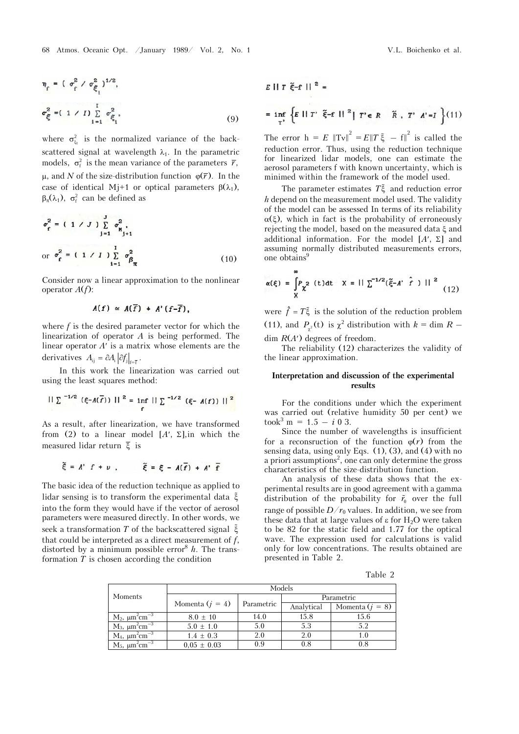$$
\eta_{\varepsilon} = (\sigma_{\varepsilon}^{2} / \sigma_{\xi_{1}}^{2})^{1/2},
$$
  

$$
\sigma_{\xi}^{2} = (1 / I) \sum_{i=1}^{I} \sigma_{\xi_{i}}^{2},
$$
 (9)

where  $\sigma_{\xi_i}^2$  is the normalized variance of the backscattered signal at wavelength  $\lambda_1$ . In the parametric models,  $\sigma_f^2$  is the mean variance of the parameters  $\bar{r}$ ,  $\mu$ , and *N* of the size-distribution function  $\varphi(\overline{r})$ . In the case of identical Mj+1 or optical parameters  $\beta(\lambda_1)$ ,  $\beta_{\pi}(\lambda_1)$ ,  $\sigma_{\xi}^2$  can be defined as

$$
\sigma_{\mathbf{f}}^{2} = \begin{pmatrix} 1 & \angle J \end{pmatrix} \sum_{\mathbf{j}=1}^{J} \sigma_{\mathbf{N}_{\mathbf{j}+1}}^{2}
$$
\n
$$
\text{or } \sigma_{\mathbf{f}}^{2} = \begin{pmatrix} 1 & \angle J \end{pmatrix} \sum_{\mathbf{i}=1}^{I} \sigma_{\beta_{\pi}}^{2}
$$
\n(10)

Consider now a linear approximation to the nonlinear operator *A*(*f*):

$$
A(f) \simeq A(\overline{f}) + A'(f-\overline{f}),
$$

where *f* is the desired parameter vector for which the linearization of operator *A* is being performed. The linear operator  $A'$  is a matrix whose elements are the derivatives  $A_{ij} = \partial A_i \left| \partial f_i \right|_{\epsilon=\bar{\epsilon}}$ .

In this work the linearization was carried out using the least squares method:

$$
||\sum_{i=1/2} ( \xi - A(\overline{f})) ||^2 = \inf_{f} ||\sum_{i=1/2} ( \xi - A(f) ) ||^2
$$

As a result, after linearization, we have transformed from (2) to a linear model  $[A', \Sigma]$ , in which the measured lidar return  $\overline{\xi}$  is

$$
\widetilde{\xi} = A' \ f + \nu \ , \qquad \widetilde{\xi} = \xi - A(\overline{f}) + A' \ \overline{f}
$$

The basic idea of the reduction technique as applied to lidar sensing is to transform the experimental data into the form they would have if the vector of aerosol parameters were measured directly. In other words, we seek a transformation  $T$  of the backscattered signal  $\tilde{\xi}$ that could be interpreted as a direct measurement of *f*, distorted by a minimum possible error<sup>8</sup>  $h$ . The transformation *T* is chosen according the condition

$$
E \parallel T \tilde{\xi} - f \parallel^{2} =
$$
\n
$$
= \inf_{T'} \left\{ E \parallel T' \tilde{\xi} - f \parallel^{2} | T' \in R \quad \tilde{R}, T' \mid A' = I \right\} (11)
$$

The error  $h = E \|Tv\|^2 = E||T \xi - f||^2$  is called the reduction error. Thus, using the reduction technique for linearized lidar models, one can estimate the aerosol parameters f with known uncertainty, which is minimed within the framework of the model used.

The parameter estimates  $T\tilde{\xi}$  and reduction error *h* depend on the measurement model used. The validity of the model can be assessed In terms of its reliability  $\alpha(\xi)$ , which in fact is the probability of erroneously rejecting the model, based on the measured data  $\xi$  and additional information. For the model  $[A', \Sigma]$  and assuming normally distributed measurements errors, one obtains<sup>9</sup>

$$
\alpha(\xi) = \int_{X} P_{\chi^2} \text{ (t)dt} \quad X = || \sum^{-1/2} (\tilde{\xi} - A' \hat{f}) ||^2
$$
 (12)

were  $\hat{f} = T\xi$  is the solution of the reduction problem (11), and  $P_{\chi^2}(t)$  is  $\chi^2$  distribution with  $k = \dim R$  – dim  $R(A)$  degrees of freedom.

The reliability (12) characterizes the validity of the linear approximation.

# **Interpretation and discussion of the experimental results**

For the conditions under which the experiment was carried out (relative humidity 50 per cent) we  $\text{took}^3 \text{ m} = 1.5 - i \text{ 0 } 3.$ 

Since the number of wavelengths is insufficient for a reconsruction of the function  $\varphi(r)$  from the sensing data, using only Eqs.  $(1)$ ,  $(3)$ , and  $(4)$  with no a priori assumptions<sup>2</sup>, one can only determine the gross characteristics of the size-distribution function.

An analysis of these data shows that the experimental results are in good agreement with a gamma distribution of the probability for  $\tilde{r}_0$  over the full range of possible  $D/r_0$  values. In addition, we see from these data that at large values of  $\epsilon$  for H<sub>2</sub>O were taken to be 82 for the static field and 1.77 for the optical wave. The expression used for calculations is valid only for low concentrations. The results obtained are presented in Table 2.

Table 2

|                                               | Models            |            |            |                   |  |
|-----------------------------------------------|-------------------|------------|------------|-------------------|--|
| Moments                                       |                   | Parametric | Parametric |                   |  |
|                                               | Momenta $(j = 4)$ |            | Analytical | Momenta $(j = 8)$ |  |
| $M_2$ , $\mu$ m <sup>2</sup> cm <sup>-3</sup> | $8.0 \pm 10$      | 14.0       | 15.8       | 15.6              |  |
| $M_3$ , $\mu m^2$ cm <sup>-3</sup>            | $5.0 \pm 1.0$     | 5.0        | 5.3        | 5.2               |  |
| $M_4$ , $\mu m^2$ cm <sup>-3</sup>            | $1.4 \pm 0.3$     | 2.0        | 2.0        | 1.0               |  |
| $M_5$ , $\mu m^2 cm^{-3}$                     | $0.05 \pm 0.03$   | 0.9        | 0.8        | 0.8               |  |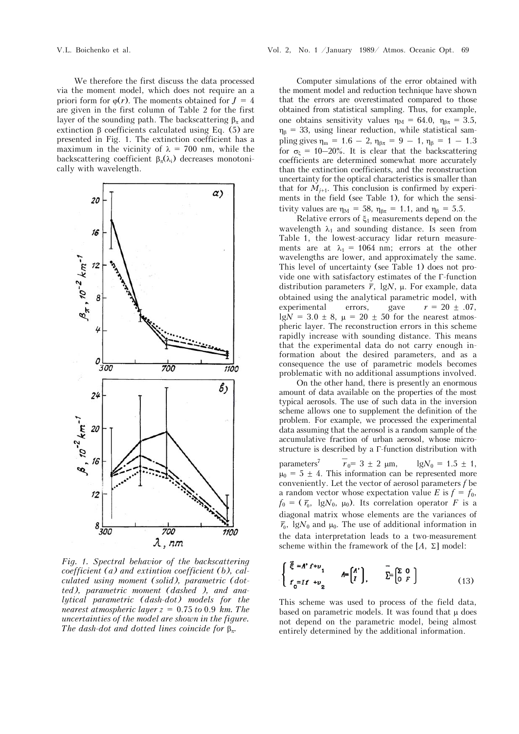We therefore the first discuss the data processed via the moment model, which does not require an a priori form for  $\varphi(r)$ . The moments obtained for  $J = 4$ are given in the first column of Table 2 for the first layer of the sounding path. The backscattering  $\beta_{\pi}$  and extinction  $\beta$  coefficients calculated using Eq. (5) are presented in Fig. 1. The extinction coefficient has a maximum in the vicinity of  $\lambda = 700$  nm, while the backscattering coefficient  $\beta_{\tau}(\lambda_i)$  decreases monotonically with wavelength.



*Fig. 1. Spectral behavior of the backscattering coefficient (a) and extintion coefficient (b), calculated using moment (solid), parametric (dotted), parametric moment (dashed ), and analytical parametric (dash-dot) models for the nearest atmospheric layer z* = 0.75 *to* 0.9 *km. The uncertainties of the model are shown in the figure. The dash-dot and dotted lines coincide for .*

Computer simulations of the error obtained with the moment model and reduction technique have shown that the errors are overestimated compared to those obtained from statistical sampling. Thus, for example, one obtains sensitivity values  $\eta_M = 64.0$ ,  $\eta_{\beta\pi} = 3.5$ ,  $\eta_{\beta} = 33$ , using linear reduction, while statistical sampling gives  $\eta_m = 1.6 - 2$ ,  $\eta_{\beta\pi} = 9 - 1$ ,  $\eta_{\beta} = 1 - 1.3$ for  $\sigma_{\xi} = 10-20\%$ . It is clear that the backscattering coefficients are determined somewhat more accurately than the extinction coefficients, and the reconstruction uncertainty for the optical characteristics is smaller than that for  $M_{i+1}$ . This conclusion is confirmed by experiments in the field (see Table 1), for which the sensitivity values are  $\eta_M = 58$ ,  $\eta_{B\pi} = 1.1$ , and  $\eta_B = 5.5$ .

Relative errors of  $\xi_1$  measurements depend on the wavelength  $\lambda_1$  and sounding distance. Is seen from Table 1, the lowest-accuracy lidar return measurements are at  $\lambda_1 = 1064$  nm; errors at the other wavelengths are lower, and approximately the same. This level of uncertainty (see Table 1) does not provide one with satisfactory estimates of the  $\Gamma$ -function distribution parameters  $\bar{r}$ , lgN,  $\mu$ . For example, data obtained using the analytical parametric model, with experimental errors, gave  $r = 20 \pm .07$ , lg $N = 3.0 \pm 8$ ,  $\mu = 20 \pm 50$  for the nearest atmospheric layer. The reconstruction errors in this scheme rapidly increase with sounding distance. This means that the experimental data do not carry enough information about the desired parameters, and as a consequence the use of parametric models becomes problematic with no additional assumptions involved.

On the other hand, there is presently an enormous amount of data available on the properties of the most typical aerosols. The use of such data in the inversion scheme allows one to supplement the definition of the problem. For example, we processed the experimental data assuming that the aerosol is a random sample of the accumulative fraction of urban aerosol, whose microstructure is described by a  $\Gamma$ -function distribution with

parameters7 *r*  $r_0 = 3 \pm 2$  µm,  $lgN_0 = 1.5 \pm 1$ ,  $\mu_0 = 5 \pm 4$ . This information can be represented more conveniently. Let the vector of aerosol parameters *f* be a random vector whose expectation value *E* is  $f = f_0$ ,  $f_0 = (\bar{r}_0, \lg N_0, \mu_0)$ . Its correlation operator *F* is a diagonal matrix whose elements are the variances of  $\bar{r}_0$ , lgN<sub>0</sub> and  $\mu_0$ . The use of additional information in the data interpretation leads to a two-measurement scheme within the framework of the  $[A, \Sigma]$  model:

$$
\begin{cases} \tilde{\xi} = A' f + \nu_1 \\ f_0 = I f + \nu_2 \end{cases} \qquad A = \begin{pmatrix} A' \\ I \end{pmatrix}, \qquad \tilde{\Sigma} = \begin{pmatrix} \Sigma & 0 \\ 0 & F \end{pmatrix} \tag{13}
$$

This scheme was used to process of the field data, based on parametric models. It was found that  $\mu$  does not depend on the parametric model, being almost entirely determined by the additional information.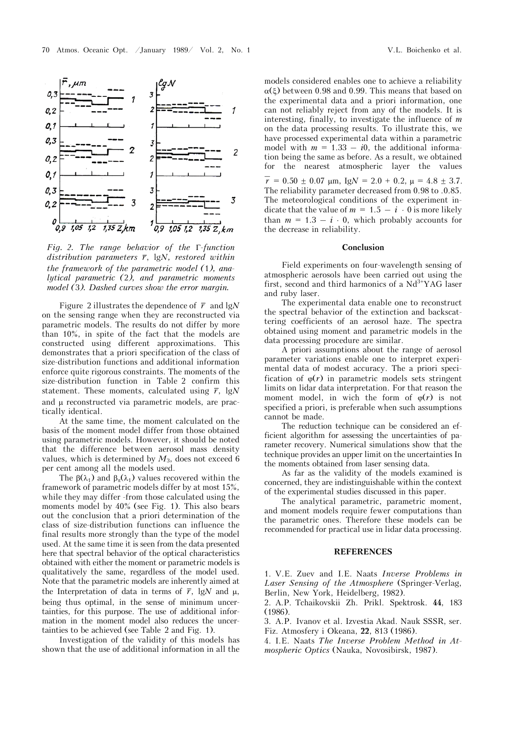



*Fig. 2. The range behavior of the*  $\Gamma$ *-function distribution parameters*  $\bar{r}$ , lg*N*, restored within *the framework of the parametric model (*1*), analytical parametric (*2*), and parametric moments model (*3*). Dashed curves show the error margin.*

Figure 2 illustrates the dependence of  $\bar{r}$  and lg*N* on the sensing range when they are reconstructed via parametric models. The results do not differ by more than 10%, in spite of the fact that the models are constructed using different approximations. This demonstrates that a priori specification of the class of size-distribution functions and additional information enforce quite rigorous constraints. The moments of the size-distribution function in Table 2 confirm this statement. These moments, calculated using  $\bar{r}$ , lg*N* and  $\mu$  reconstructed via parametric models, are practically identical.

At the same time, the moment calculated on the basis of the moment model differ from those obtained using parametric models. However, it should be noted that the difference between aerosol mass density values, which is determined by *M*3, does not exceed 6 per cent among all the models used.

The  $\beta(\lambda_1)$  and  $\beta_{\pi}(\lambda_1)$  values recovered within the framework of parametric models differ by at most 15%, while they may differ -from those calculated using the moments model by 40% (see Fig. 1). This also bears out the conclusion that a priori determination of the class of size-distribution functions can influence the final results more strongly than the type of the model used. At the same time it is seen from the data presented here that spectral behavior of the optical characteristics obtained with either the moment or parametric models is qualitatively the same, regardless of the model used. Note that the parametric models are inherently aimed at the Interpretation of data in terms of  $\bar{r}$ , lgN and  $\mu$ , being thus optimal, in the sense of minimum uncertainties, for this purpose. The use of additional information in the moment model also reduces the uncertainties to be achieved (see Table 2 and Fig. 1).

Investigation of the validity of this models has shown that the use of additional information in all the

models considered enables one to achieve a reliability  $\alpha(\xi)$  between 0.98 and 0.99. This means that based on the experimental data and a priori information, one can not reliably reject from any of the models. It is interesting, finally, to investigate the influence of *m* on the data processing results. To illustrate this, we have processed experimental data within a parametric model with  $m = 1.33 - i0$ , the additional information being the same as before. As a result, we obtained for the nearest atmospheric layer the values  $\overline{r}$  = 0.50  $\pm$  0.07  $\mu$ m, Ig $N$  = 2.0 + 0.2,  $\mu$  = 4.8  $\pm$  3.7. The reliability parameter decreased from 0.98 to .0.85. The meteorological conditions of the experiment indicate that the value of  $m = 1.5 - i \cdot 0$  is more likely than  $m = 1.3 - i \cdot 0$ , which probably accounts for the decrease in reliability.

### **Conclusion**

Field experiments on four-wavelength sensing of atmospheric aerosols have been carried out using the first, second and third harmonics of a  $Nd<sup>3+</sup>YAG$  laser and ruby laser.

The experimental data enable one to reconstruct the spectral behavior of the extinction and backscattering coefficients of an aerosol haze. The spectra obtained using moment and parametric models in the data processing procedure are similar.

A priori assumptions about the range of aerosol parameter variations enable one to interpret experimental data of modest accuracy. The a priori specification of  $\varphi(r)$  in parametric models sets stringent limits on lidar data interpretation. For that reason the moment model, in wich the form of  $\varphi(r)$  is not specified a priori, is preferable when such assumptions cannot be made.

The reduction technique can be considered an efficient algorithm for assessing the uncertainties of parameter recovery. Numerical simulations show that the technique provides an upper limit on the uncertainties In the moments obtained from laser sensing data.

As far as the validity of the models examined is concerned, they are indistinguishable within the context of the experimental studies discussed in this paper.

The analytical parametric, parametric moment, and moment models require fewer computations than the parametric ones. Therefore these models can be recommended for practical use in lidar data processing.

### **REFERENCES**

1. V.E. Zuev and I.E. Naats *Inverse Problems in Laser Sensing of the Atmosphere* (Springer-Verlag, Berlin, New York, Heidelberg, 1982).

2. A.P. Tchaikovskii Zh. Prikl. Spektrosk. **44**, 183 (1986).

3. A.P. Ivanov et al. Izvestia Akad. Nauk SSSR, ser. Fiz. Atmosfery i Okeana, **22**, 813 (1986).

4. I.E. Naats *The Inverse Problem Method in Atmospheric Optics* (Nauka, Novosibirsk, 1987).